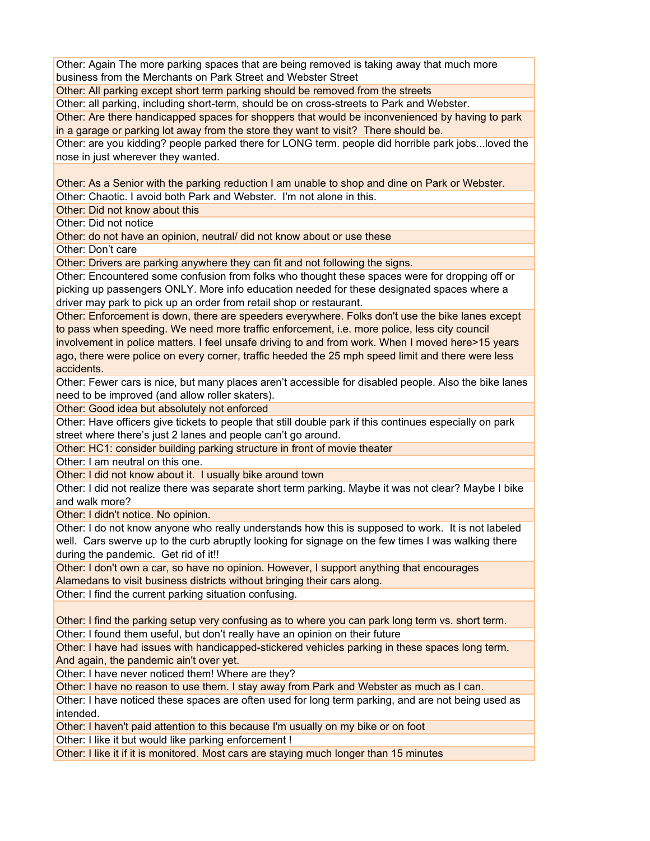## Question 6 Comments: Short term parking

Other: Again The more parking spaces that are being removed is taking away that much more business from the Merchants on Park Street and Webster Street

Other: All parking except short term parking should be removed from the streets

Other: all parking, including short-term, should be on cross-streets to Park and Webster.

Other: Are there handicapped spaces for shoppers that would be inconvenienced by having to park in a garage or parking lot away from the store they want to visit? There should be.

Other: are you kidding? people parked there for LONG term. people did horrible park jobs...loved the nose in just wherever they wanted.

Other: As a Senior with the parking reduction I am unable to shop and dine on Park or Webster.

Other: Chaotic. I avoid both Park and Webster. I'm not alone in this.

Other: Did not know about this

Other: Did not notice

Other: do not have an opinion, neutral/ did not know about or use these

Other: Don't care

Other: Drivers are parking anywhere they can fit and not following the signs.

Other: Encountered some confusion from folks who thought these spaces were for dropping off or picking up passengers ONLY. More info education needed for these designated spaces where a driver may park to pick up an order from retail shop or restaurant.

Other: Enforcement is down, there are speeders everywhere. Folks don't use the bike lanes except to pass when speeding. We need more traffic enforcement, i.e. more police, less city council involvement in police matters. I feel unsafe driving to and from work. When I moved here>15 years ago, there were police on every corner, traffic heeded the 25 mph speed limit and there were less accidents.

Other: Fewer cars is nice, but many places aren't accessible for disabled people. Also the bike lanes need to be improved (and allow roller skaters).

Other: Good idea but absolutely not enforced

Other: Have officers give tickets to people that still double park if this continues especially on park street where there's just 2 lanes and people can't go around.

Other: HC1: consider building parking structure in front of movie theater

Other: I am neutral on this one.

Other: I did not know about it. I usually bike around town

Other: I did not realize there was separate short term parking. Maybe it was not clear? Maybe I bike and walk more?

Other: I didn't notice. No opinion.

Other: I do not know anyone who really understands how this is supposed to work. It is not labeled well. Cars swerve up to the curb abruptly looking for signage on the few times I was walking there during the pandemic. Get rid of it!!

Other: I don't own a car, so have no opinion. However, I support anything that encourages Alamedans to visit business districts without bringing their cars along.

Other: I find the current parking situation confusing.

Other: I find the parking setup very confusing as to where you can park long term vs. short term. Other: I found them useful, but don't really have an opinion on their future

Other: I have had issues with handicapped-stickered vehicles parking in these spaces long term. And again, the pandemic ain't over yet.

Other: I have never noticed them! Where are they?

Other: I have no reason to use them. I stay away from Park and Webster as much as I can.

Other: I have noticed these spaces are often used for long term parking, and are not being used as intended.

Other: I haven't paid attention to this because I'm usually on my bike or on foot

Other: I like it but would like parking enforcement !

Other: I like it if it is monitored. Most cars are staying much longer than 15 minutes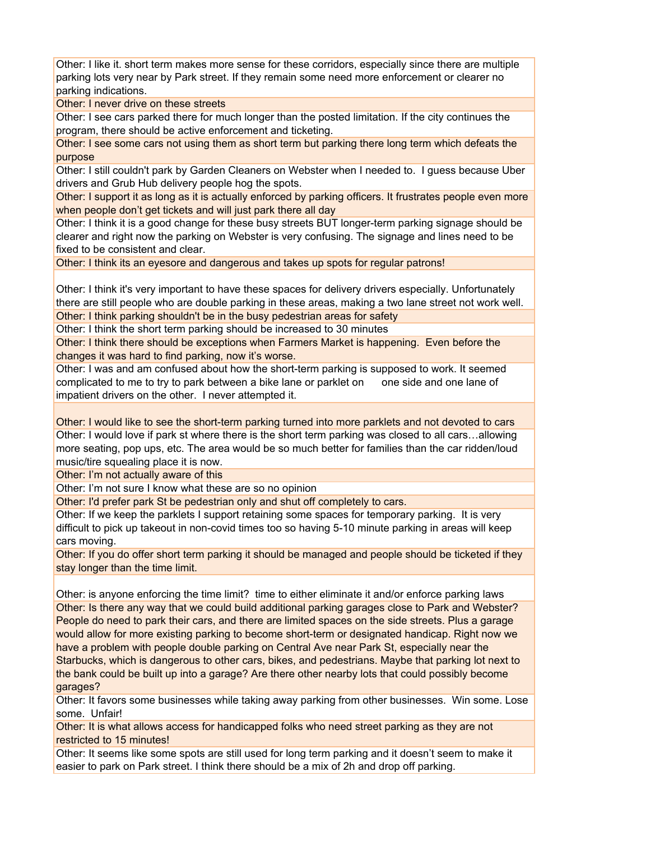Other: I like it. short term makes more sense for these corridors, especially since there are multiple parking lots very near by Park street. If they remain some need more enforcement or clearer no parking indications.

Other: I never drive on these streets

Other: I see cars parked there for much longer than the posted limitation. If the city continues the program, there should be active enforcement and ticketing.

Other: I see some cars not using them as short term but parking there long term which defeats the purpose

Other: I still couldn't park by Garden Cleaners on Webster when I needed to. I guess because Uber drivers and Grub Hub delivery people hog the spots.

Other: I support it as long as it is actually enforced by parking officers. It frustrates people even more when people don't get tickets and will just park there all day

Other: I think it is a good change for these busy streets BUT longer-term parking signage should be clearer and right now the parking on Webster is very confusing. The signage and lines need to be fixed to be consistent and clear.

Other: I think its an eyesore and dangerous and takes up spots for regular patrons!

Other: I think it's very important to have these spaces for delivery drivers especially. Unfortunately there are still people who are double parking in these areas, making a two lane street not work well. Other: I think parking shouldn't be in the busy pedestrian areas for safety

Other: I think the short term parking should be increased to 30 minutes

Other: I think there should be exceptions when Farmers Market is happening. Even before the changes it was hard to find parking, now it's worse.

Other: I was and am confused about how the short-term parking is supposed to work. It seemed complicated to me to try to park between a bike lane or parklet on one side and one lane of impatient drivers on the other. I never attempted it.

Other: I would like to see the short-term parking turned into more parklets and not devoted to cars Other: I would love if park st where there is the short term parking was closed to all cars…allowing more seating, pop ups, etc. The area would be so much better for families than the car ridden/loud music/tire squealing place it is now.

Other: I'm not actually aware of this

Other: I'm not sure I know what these are so no opinion

Other: I'd prefer park St be pedestrian only and shut off completely to cars.

Other: If we keep the parklets I support retaining some spaces for temporary parking. It is very difficult to pick up takeout in non-covid times too so having 5-10 minute parking in areas will keep cars moving.

Other: If you do offer short term parking it should be managed and people should be ticketed if they stay longer than the time limit.

Other: is anyone enforcing the time limit? time to either eliminate it and/or enforce parking laws Other: Is there any way that we could build additional parking garages close to Park and Webster? People do need to park their cars, and there are limited spaces on the side streets. Plus a garage would allow for more existing parking to become short-term or designated handicap. Right now we have a problem with people double parking on Central Ave near Park St, especially near the Starbucks, which is dangerous to other cars, bikes, and pedestrians. Maybe that parking lot next to the bank could be built up into a garage? Are there other nearby lots that could possibly become garages?

Other: It favors some businesses while taking away parking from other businesses. Win some. Lose some. Unfair!

Other: It is what allows access for handicapped folks who need street parking as they are not restricted to 15 minutes!

Other: It seems like some spots are still used for long term parking and it doesn't seem to make it easier to park on Park street. I think there should be a mix of 2h and drop off parking.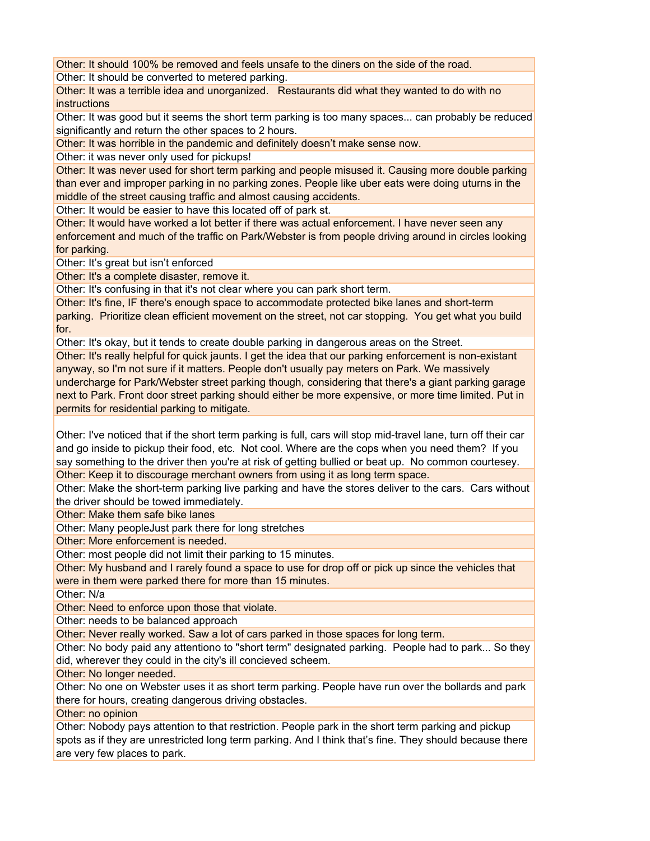Other: It should 100% be removed and feels unsafe to the diners on the side of the road.

Other: It should be converted to metered parking.

Other: It was a terrible idea and unorganized. Restaurants did what they wanted to do with no instructions

Other: It was good but it seems the short term parking is too many spaces... can probably be reduced significantly and return the other spaces to 2 hours.

Other: It was horrible in the pandemic and definitely doesn't make sense now.

Other: it was never only used for pickups!

Other: It was never used for short term parking and people misused it. Causing more double parking than ever and improper parking in no parking zones. People like uber eats were doing uturns in the middle of the street causing traffic and almost causing accidents.

Other: It would be easier to have this located off of park st.

Other: It would have worked a lot better if there was actual enforcement. I have never seen any enforcement and much of the traffic on Park/Webster is from people driving around in circles looking for parking.

Other: It's great but isn't enforced

Other: It's a complete disaster, remove it.

Other: It's confusing in that it's not clear where you can park short term.

Other: It's fine, IF there's enough space to accommodate protected bike lanes and short-term parking. Prioritize clean efficient movement on the street, not car stopping. You get what you build for.

Other: It's okay, but it tends to create double parking in dangerous areas on the Street.

Other: It's really helpful for quick jaunts. I get the idea that our parking enforcement is non-existant anyway, so I'm not sure if it matters. People don't usually pay meters on Park. We massively undercharge for Park/Webster street parking though, considering that there's a giant parking garage next to Park. Front door street parking should either be more expensive, or more time limited. Put in permits for residential parking to mitigate.

Other: I've noticed that if the short term parking is full, cars will stop mid-travel lane, turn off their car and go inside to pickup their food, etc. Not cool. Where are the cops when you need them? If you say something to the driver then you're at risk of getting bullied or beat up. No common courtesey. Other: Keep it to discourage merchant owners from using it as long term space.

Other: Make the short-term parking live parking and have the stores deliver to the cars. Cars without the driver should be towed immediately.

Other: Make them safe bike lanes

Other: Many peopleJust park there for long stretches

Other: More enforcement is needed.

Other: most people did not limit their parking to 15 minutes.

Other: My husband and I rarely found a space to use for drop off or pick up since the vehicles that were in them were parked there for more than 15 minutes.

Other: N/a

Other: Need to enforce upon those that violate.

Other: needs to be balanced approach

Other: Never really worked. Saw a lot of cars parked in those spaces for long term.

Other: No body paid any attentiono to "short term" designated parking. People had to park... So they did, wherever they could in the city's ill concieved scheem.

Other: No longer needed.

Other: No one on Webster uses it as short term parking. People have run over the bollards and park there for hours, creating dangerous driving obstacles.

Other: no opinion

Other: Nobody pays attention to that restriction. People park in the short term parking and pickup spots as if they are unrestricted long term parking. And I think that's fine. They should because there are very few places to park.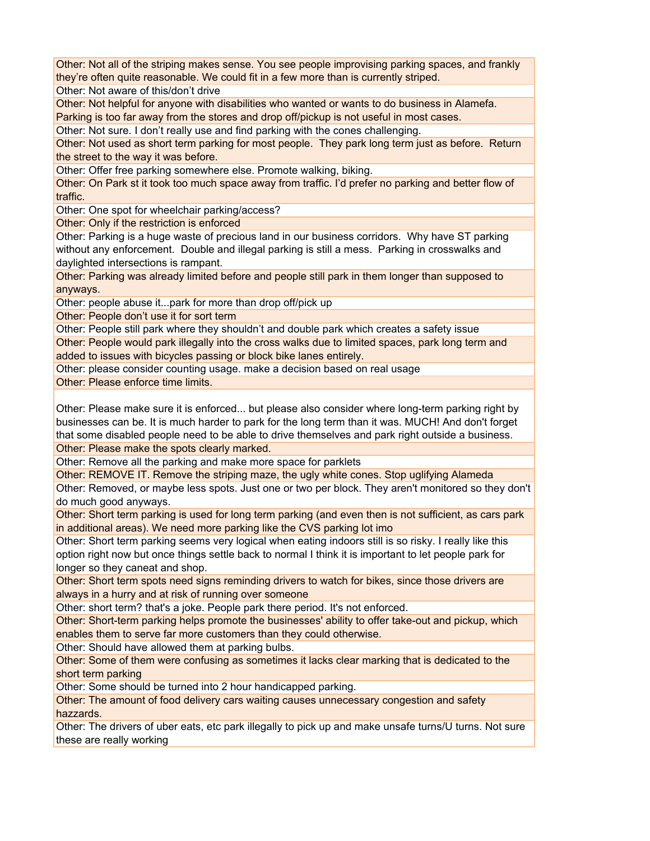Other: Not all of the striping makes sense. You see people improvising parking spaces, and frankly they're often quite reasonable. We could fit in a few more than is currently striped.

Other: Not aware of this/don't drive

Other: Not helpful for anyone with disabilities who wanted or wants to do business in Alamefa. Parking is too far away from the stores and drop off/pickup is not useful in most cases.

Other: Not sure. I don't really use and find parking with the cones challenging.

Other: Not used as short term parking for most people. They park long term just as before. Return the street to the way it was before.

Other: Offer free parking somewhere else. Promote walking, biking.

Other: On Park st it took too much space away from traffic. I'd prefer no parking and better flow of traffic.

Other: One spot for wheelchair parking/access?

Other: Only if the restriction is enforced

Other: Parking is a huge waste of precious land in our business corridors. Why have ST parking without any enforcement. Double and illegal parking is still a mess. Parking in crosswalks and daylighted intersections is rampant.

Other: Parking was already limited before and people still park in them longer than supposed to anyways.

Other: people abuse it...park for more than drop off/pick up

Other: People don't use it for sort term

Other: People still park where they shouldn't and double park which creates a safety issue

Other: People would park illegally into the cross walks due to limited spaces, park long term and added to issues with bicycles passing or block bike lanes entirely.

Other: please consider counting usage. make a decision based on real usage

Other: Please enforce time limits.

Other: Please make sure it is enforced... but please also consider where long-term parking right by businesses can be. It is much harder to park for the long term than it was. MUCH! And don't forget that some disabled people need to be able to drive themselves and park right outside a business.

Other: Please make the spots clearly marked.

Other: Remove all the parking and make more space for parklets

Other: REMOVE IT. Remove the striping maze, the ugly white cones. Stop uglifying Alameda

Other: Removed, or maybe less spots. Just one or two per block. They aren't monitored so they don't do much good anyways.

Other: Short term parking is used for long term parking (and even then is not sufficient, as cars park in additional areas). We need more parking like the CVS parking lot imo

Other: Short term parking seems very logical when eating indoors still is so risky. I really like this option right now but once things settle back to normal I think it is important to let people park for longer so they caneat and shop.

Other: Short term spots need signs reminding drivers to watch for bikes, since those drivers are always in a hurry and at risk of running over someone

Other: short term? that's a joke. People park there period. It's not enforced.

Other: Short-term parking helps promote the businesses' ability to offer take-out and pickup, which enables them to serve far more customers than they could otherwise.

Other: Should have allowed them at parking bulbs.

Other: Some of them were confusing as sometimes it lacks clear marking that is dedicated to the short term parking

Other: Some should be turned into 2 hour handicapped parking.

Other: The amount of food delivery cars waiting causes unnecessary congestion and safety hazzards.

Other: The drivers of uber eats, etc park illegally to pick up and make unsafe turns/U turns. Not sure these are really working